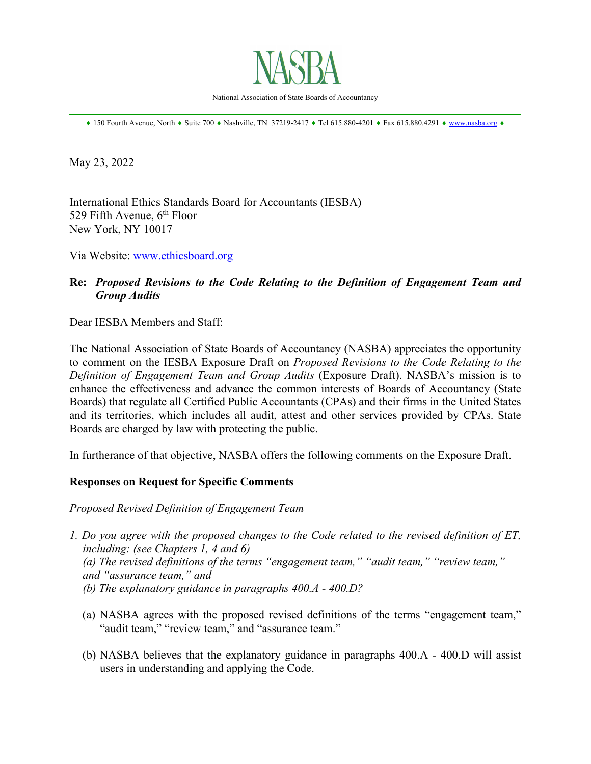

National Association of State Boards of Accountancy \_\_\_\_\_\_\_\_\_\_\_\_\_\_\_\_\_\_\_\_\_\_\_\_\_\_\_\_\_\_\_\_\_\_\_\_\_\_\_\_\_\_\_\_\_\_\_\_\_\_\_\_\_\_\_\_\_\_\_\_\_\_\_\_\_\_\_\_\_\_\_\_\_\_\_\_\_\_

 $*$  150 Fourth Avenue, North  $*$  Suite 700  $*$  Nashville, TN 37219-2417  $*$  Tel 615.880-4201  $*$  Fax 615.880.4291  $*$  www.nasba.org  $*$ 

May 23, 2022

International Ethics Standards Board for Accountants (IESBA) 529 Fifth Avenue,  $6<sup>th</sup>$  Floor New York, NY 10017

Via Website: www.ethicsboard.org

# **Re:** *Proposed Revisions to the Code Relating to the Definition of Engagement Team and Group Audits*

Dear IESBA Members and Staff:

The National Association of State Boards of Accountancy (NASBA) appreciates the opportunity to comment on the IESBA Exposure Draft on *Proposed Revisions to the Code Relating to the Definition of Engagement Team and Group Audits* (Exposure Draft). NASBA's mission is to enhance the effectiveness and advance the common interests of Boards of Accountancy (State Boards) that regulate all Certified Public Accountants (CPAs) and their firms in the United States and its territories, which includes all audit, attest and other services provided by CPAs. State Boards are charged by law with protecting the public.

In furtherance of that objective, NASBA offers the following comments on the Exposure Draft.

#### **Responses on Request for Specific Comments**

*Proposed Revised Definition of Engagement Team* 

- *1. Do you agree with the proposed changes to the Code related to the revised definition of ET, including: (see Chapters 1, 4 and 6) (a) The revised definitions of the terms "engagement team," "audit team," "review team," and "assurance team," and (b) The explanatory guidance in paragraphs 400.A - 400.D?* 
	- (a) NASBA agrees with the proposed revised definitions of the terms "engagement team," "audit team," "review team," and "assurance team."
	- (b) NASBA believes that the explanatory guidance in paragraphs 400.A 400.D will assist users in understanding and applying the Code.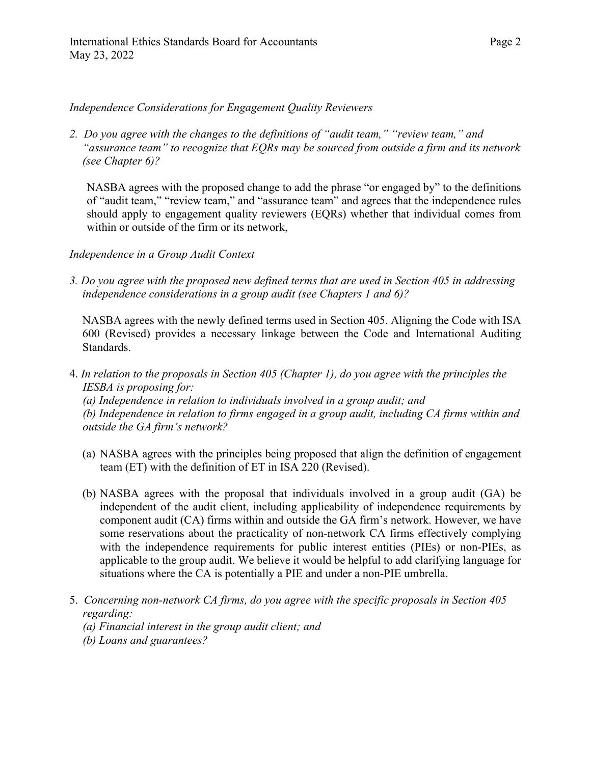### *Independence Considerations for Engagement Quality Reviewers*

*2. Do you agree with the changes to the definitions of "audit team," "review team," and "assurance team" to recognize that EQRs may be sourced from outside a firm and its network (see Chapter 6)?* 

NASBA agrees with the proposed change to add the phrase "or engaged by" to the definitions of "audit team," "review team," and "assurance team" and agrees that the independence rules should apply to engagement quality reviewers (EQRs) whether that individual comes from within or outside of the firm or its network,

### *Independence in a Group Audit Context*

*3. Do you agree with the proposed new defined terms that are used in Section 405 in addressing independence considerations in a group audit (see Chapters 1 and 6)?* 

NASBA agrees with the newly defined terms used in Section 405. Aligning the Code with ISA 600 (Revised) provides a necessary linkage between the Code and International Auditing Standards.

4. *In relation to the proposals in Section 405 (Chapter 1), do you agree with the principles the IESBA is proposing for:* 

 *(a) Independence in relation to individuals involved in a group audit; and (b) Independence in relation to firms engaged in a group audit, including CA firms within and outside the GA firm's network?*

- (a) NASBA agrees with the principles being proposed that align the definition of engagement team (ET) with the definition of ET in ISA 220 (Revised).
- (b) NASBA agrees with the proposal that individuals involved in a group audit (GA) be independent of the audit client, including applicability of independence requirements by component audit (CA) firms within and outside the GA firm's network. However, we have some reservations about the practicality of non-network CA firms effectively complying with the independence requirements for public interest entities (PIEs) or non-PIEs, as applicable to the group audit. We believe it would be helpful to add clarifying language for situations where the CA is potentially a PIE and under a non-PIE umbrella.
- 5. *Concerning non-network CA firms, do you agree with the specific proposals in Section 405 regarding:* 
	- *(a) Financial interest in the group audit client; and*
	- *(b) Loans and guarantees?*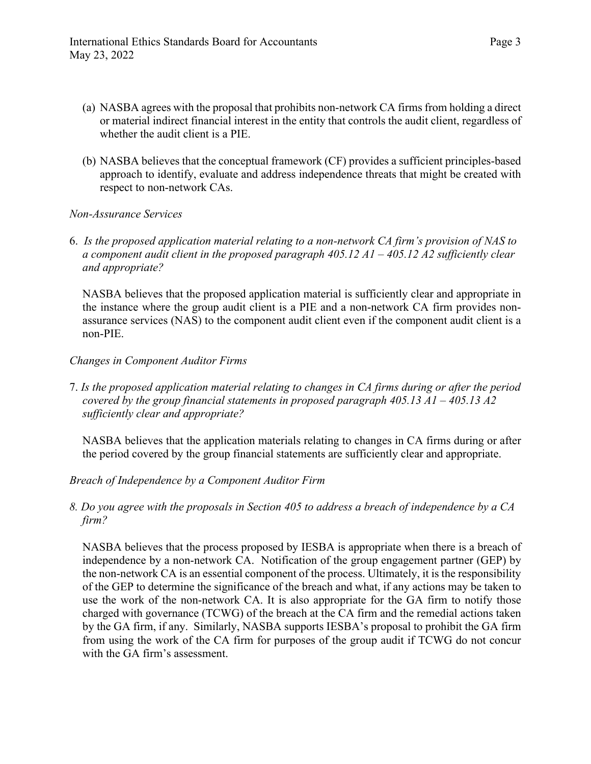- (a) NASBA agrees with the proposal that prohibits non-network CA firms from holding a direct or material indirect financial interest in the entity that controls the audit client, regardless of whether the audit client is a PIE.
- (b) NASBA believes that the conceptual framework (CF) provides a sufficient principles-based approach to identify, evaluate and address independence threats that might be created with respect to non-network CAs.

### *Non-Assurance Services*

6. *Is the proposed application material relating to a non-network CA firm's provision of NAS to a component audit client in the proposed paragraph 405.12 A1 – 405.12 A2 sufficiently clear and appropriate?* 

NASBA believes that the proposed application material is sufficiently clear and appropriate in the instance where the group audit client is a PIE and a non-network CA firm provides nonassurance services (NAS) to the component audit client even if the component audit client is a non-PIE.

### *Changes in Component Auditor Firms*

7. *Is the proposed application material relating to changes in CA firms during or after the period covered by the group financial statements in proposed paragraph 405.13 A1 – 405.13 A2 sufficiently clear and appropriate?*

NASBA believes that the application materials relating to changes in CA firms during or after the period covered by the group financial statements are sufficiently clear and appropriate.

## *Breach of Independence by a Component Auditor Firm*

*8. Do you agree with the proposals in Section 405 to address a breach of independence by a CA firm?* 

NASBA believes that the process proposed by IESBA is appropriate when there is a breach of independence by a non-network CA. Notification of the group engagement partner (GEP) by the non-network CA is an essential component of the process. Ultimately, it is the responsibility of the GEP to determine the significance of the breach and what, if any actions may be taken to use the work of the non-network CA. It is also appropriate for the GA firm to notify those charged with governance (TCWG) of the breach at the CA firm and the remedial actions taken by the GA firm, if any. Similarly, NASBA supports IESBA's proposal to prohibit the GA firm from using the work of the CA firm for purposes of the group audit if TCWG do not concur with the GA firm's assessment.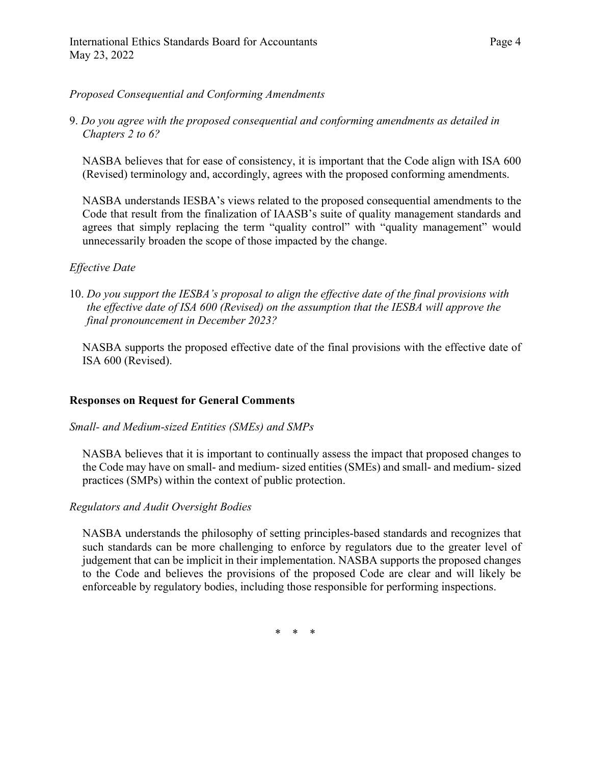9. *Do you agree with the proposed consequential and conforming amendments as detailed in Chapters 2 to 6?* 

NASBA believes that for ease of consistency, it is important that the Code align with ISA 600 (Revised) terminology and, accordingly, agrees with the proposed conforming amendments.

NASBA understands IESBA's views related to the proposed consequential amendments to the Code that result from the finalization of IAASB's suite of quality management standards and agrees that simply replacing the term "quality control" with "quality management" would unnecessarily broaden the scope of those impacted by the change.

## *Effective Date*

10. *Do you support the IESBA's proposal to align the effective date of the final provisions with the effective date of ISA 600 (Revised) on the assumption that the IESBA will approve the final pronouncement in December 2023?* 

NASBA supports the proposed effective date of the final provisions with the effective date of ISA 600 (Revised).

## **Responses on Request for General Comments**

#### *Small- and Medium-sized Entities (SMEs) and SMPs*

NASBA believes that it is important to continually assess the impact that proposed changes to the Code may have on small- and medium- sized entities (SMEs) and small- and medium- sized practices (SMPs) within the context of public protection.

## *Regulators and Audit Oversight Bodies*

NASBA understands the philosophy of setting principles-based standards and recognizes that such standards can be more challenging to enforce by regulators due to the greater level of judgement that can be implicit in their implementation. NASBA supports the proposed changes to the Code and believes the provisions of the proposed Code are clear and will likely be enforceable by regulatory bodies, including those responsible for performing inspections.

\* \* \*